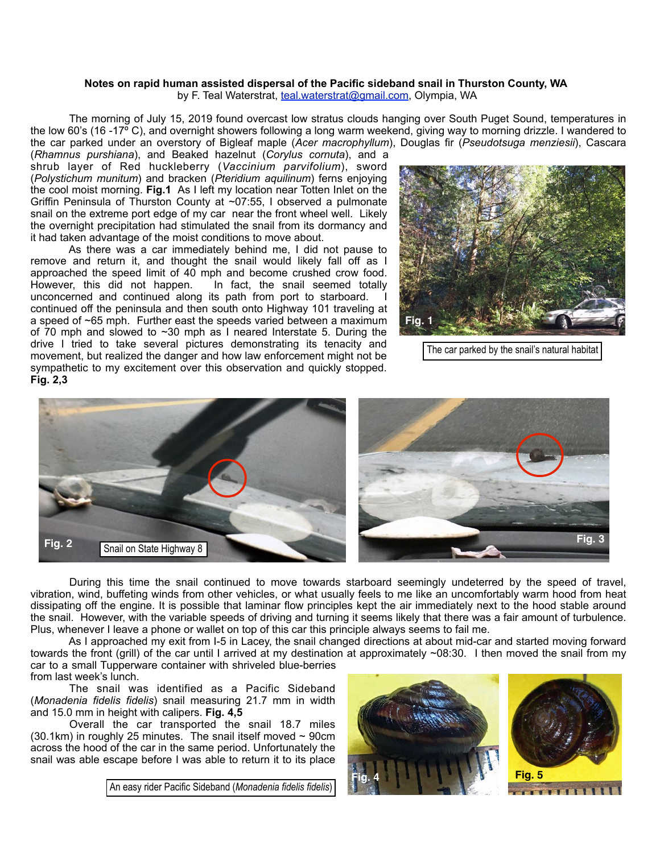## **Notes on rapid human assisted dispersal of the Pacific sideband snail in Thurston County, WA** by F. Teal Waterstrat, [teal.waterstrat@gmail.com](mailto:teal.waterstrat@gmail.com), Olympia, WA

 The morning of July 15, 2019 found overcast low stratus clouds hanging over South Puget Sound, temperatures in the low 60's (16 -17<sup>o</sup> C), and overnight showers following a long warm weekend, giving way to morning drizzle. I wandered to the car parked under an overstory of Bigleaf maple (*Acer macrophyllum*), Douglas fir (*Pseudotsuga menziesii*), Cascara

(*Rhamnus purshiana*), and Beaked hazelnut (*Corylus cornuta*), and a shrub layer of Red huckleberry (*Vaccinium parvifolium*), sword (*Polystichum munitum*) and bracken (*Pteridium aquilinum*) ferns enjoying the cool moist morning. **Fig.1** As I left my location near Totten Inlet on the Griffin Peninsula of Thurston County at ~07:55, I observed a pulmonate snail on the extreme port edge of my car near the front wheel well. Likely the overnight precipitation had stimulated the snail from its dormancy and it had taken advantage of the moist conditions to move about.

 As there was a car immediately behind me, I did not pause to remove and return it, and thought the snail would likely fall off as I approached the speed limit of 40 mph and become crushed crow food.<br>However, this did not happen. In fact, the snail seemed totally In fact, the snail seemed totally unconcerned and continued along its path from port to starboard. continued off the peninsula and then south onto Highway 101 traveling at a speed of ~65 mph. Further east the speeds varied between a maximum of 70 mph and slowed to  $\sim$ 30 mph as I neared Interstate 5. During the drive I tried to take several pictures demonstrating its tenacity and movement, but realized the danger and how law enforcement might not be sympathetic to my excitement over this observation and quickly stopped. **Fig. 2,3**



The car parked by the snail's natural habitat





 During this time the snail continued to move towards starboard seemingly undeterred by the speed of travel, vibration, wind, buffeting winds from other vehicles, or what usually feels to me like an uncomfortably warm hood from heat dissipating off the engine. It is possible that laminar flow principles kept the air immediately next to the hood stable around the snail. However, with the variable speeds of driving and turning it seems likely that there was a fair amount of turbulence. Plus, whenever I leave a phone or wallet on top of this car this principle always seems to fail me.

 As I approached my exit from I-5 in Lacey, the snail changed directions at about mid-car and started moving forward towards the front (grill) of the car until I arrived at my destination at approximately ~08:30. I then moved the snail from my car to a small Tupperware container with shriveled blue-berries from last week's lunch.

 The snail was identified as a Pacific Sideband (*Monadenia fidelis fidelis*) snail measuring 21.7 mm in width and 15.0 mm in height with calipers. **Fig. 4,5**

 Overall the car transported the snail 18.7 miles  $(30.1 \text{km})$  in roughly 25 minutes. The snail itself moved  $\sim 90 \text{cm}$ across the hood of the car in the same period. Unfortunately the snail was able escape before I was able to return it to its place

An easy rider Pacific Sideband (*Monadenia fidelis fidelis*)